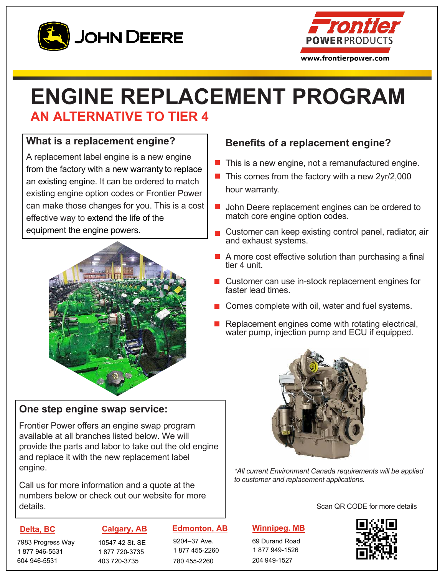



# **ENGINE REPLACEMENT PROGRAM AN ALTERNATIVE TO TIER 4**

### **What is a replacement engine?**

A replacement label engine is a new engine from the factory with a new warranty to replace an existing engine. It can be ordered to match existing engine option codes or Frontier Power can make those changes for you. This is a cost effective way to extend the life of the equipment the engine powers.



### **One step engine swap service:**

Frontier Power offers an engine swap program available at all branches listed below. We will provide the parts and labor to take out the old engine and replace it with the new replacement label engine.

Call us for more information and a quote at the numbers below or check out our website for more details.

### **Delta, BC**

7983 Progress Way 1 877 946-5531 604 946-5531

### **Calgary, AB**

10547 42 St. SE 1 877 720-3735 403 720-3735

### **Edmonton, AB**

9204–37 Ave. 1 877 455-2260 780 455-2260

### **Benefits of a replacement engine?**

- This is a new engine, not a remanufactured engine.
- $\blacksquare$  This comes from the factory with a new 2yr/2,000 hour warranty.
- John Deere replacement engines can be ordered to  $\mathcal{L}^{\mathcal{A}}$ match core engine option codes.
- Customer can keep existing control panel, radiator, air and exhaust systems.
- $\blacksquare$  A more cost effective solution than purchasing a final tier 4 unit.
- Customer can use in-stock replacement engines for faster lead times.
- Comes complete with oil, water and fuel systems.
- Replacement engines come with rotating electrical, water pump, injection pump and ECU if equipped.



*\*All current Environment Canada requirements will be applied to customer and replacement applications.*

Scan QR CODE for more details

### **Winnipeg. MB**

69 Durand Road 1 877 949-1526 204 949-1527